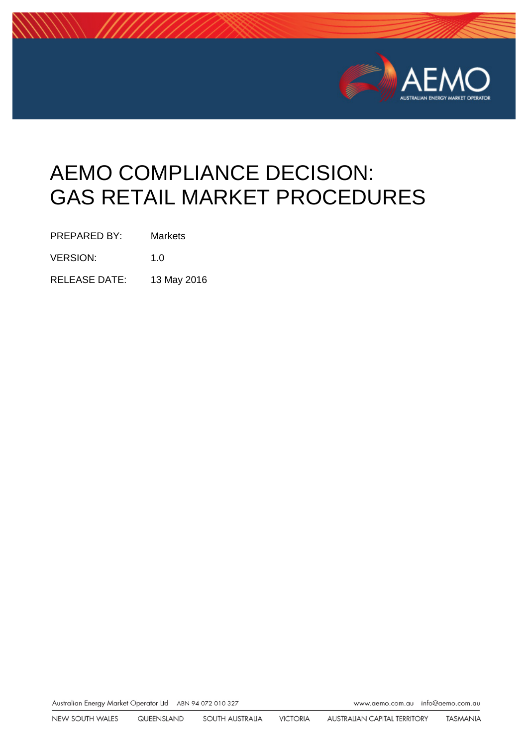

# AEMO COMPLIANCE DECISION: GAS RETAIL MARKET PROCEDURES

PREPARED BY: Markets

VERSION: 1.0

RELEASE DATE: 13 May 2016

Australian Energy Market Operator Ltd ABN 94 072 010 327

www.aemo.com.au info@aemo.com.au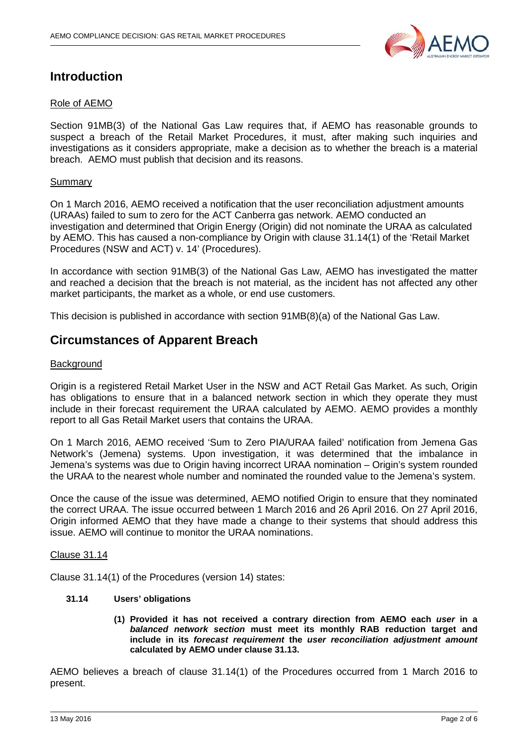

## **Introduction**

#### Role of AEMO

Section 91MB(3) of the National Gas Law requires that, if AEMO has reasonable grounds to suspect a breach of the Retail Market Procedures, it must, after making such inquiries and investigations as it considers appropriate, make a decision as to whether the breach is a material breach. AEMO must publish that decision and its reasons.

#### Summary

On 1 March 2016, AEMO received a notification that the user reconciliation adjustment amounts (URAAs) failed to sum to zero for the ACT Canberra gas network. AEMO conducted an investigation and determined that Origin Energy (Origin) did not nominate the URAA as calculated by AEMO. This has caused a non-compliance by Origin with clause 31.14(1) of the 'Retail Market Procedures (NSW and ACT) v. 14' (Procedures).

In accordance with section 91MB(3) of the National Gas Law, AEMO has investigated the matter and reached a decision that the breach is not material, as the incident has not affected any other market participants, the market as a whole, or end use customers.

This decision is published in accordance with section 91MB(8)(a) of the National Gas Law.

## **Circumstances of Apparent Breach**

#### **Background**

Origin is a registered Retail Market User in the NSW and ACT Retail Gas Market. As such, Origin has obligations to ensure that in a balanced network section in which they operate they must include in their forecast requirement the URAA calculated by AEMO. AEMO provides a monthly report to all Gas Retail Market users that contains the URAA.

On 1 March 2016, AEMO received 'Sum to Zero PIA/URAA failed' notification from Jemena Gas Network's (Jemena) systems. Upon investigation, it was determined that the imbalance in Jemena's systems was due to Origin having incorrect URAA nomination – Origin's system rounded the URAA to the nearest whole number and nominated the rounded value to the Jemena's system.

Once the cause of the issue was determined, AEMO notified Origin to ensure that they nominated the correct URAA. The issue occurred between 1 March 2016 and 26 April 2016. On 27 April 2016, Origin informed AEMO that they have made a change to their systems that should address this issue. AEMO will continue to monitor the URAA nominations.

#### Clause 31.14

Clause 31.14(1) of the Procedures (version 14) states:

#### **31.14 Users' obligations**

**(1) Provided it has not received a contrary direction from AEMO each** *user* **in a**  *balanced network section* **must meet its monthly RAB reduction target and include in its** *forecast requirement* **the** *user reconciliation adjustment amount*  **calculated by AEMO under clause 31.13.**

AEMO believes a breach of clause 31.14(1) of the Procedures occurred from 1 March 2016 to present.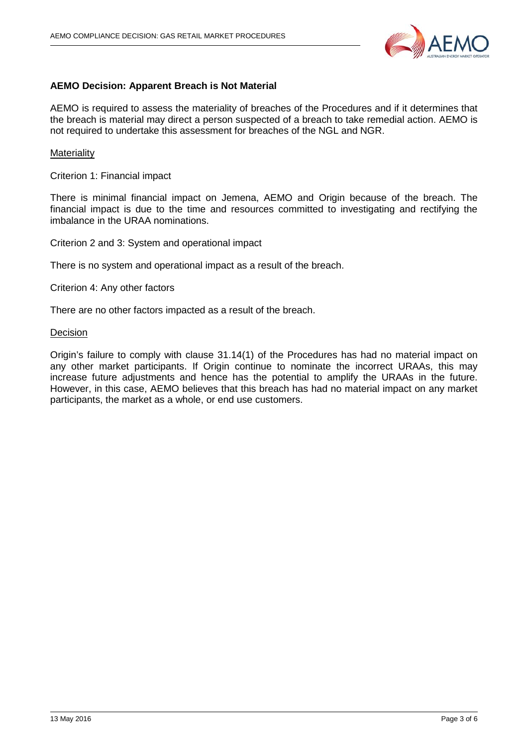

#### **AEMO Decision: Apparent Breach is Not Material**

AEMO is required to assess the materiality of breaches of the Procedures and if it determines that the breach is material may direct a person suspected of a breach to take remedial action. AEMO is not required to undertake this assessment for breaches of the NGL and NGR.

#### **Materiality**

Criterion 1: Financial impact

There is minimal financial impact on Jemena, AEMO and Origin because of the breach. The financial impact is due to the time and resources committed to investigating and rectifying the imbalance in the URAA nominations.

Criterion 2 and 3: System and operational impact

There is no system and operational impact as a result of the breach.

Criterion 4: Any other factors

There are no other factors impacted as a result of the breach.

#### **Decision**

Origin's failure to comply with clause 31.14(1) of the Procedures has had no material impact on any other market participants. If Origin continue to nominate the incorrect URAAs, this may increase future adjustments and hence has the potential to amplify the URAAs in the future. However, in this case, AEMO believes that this breach has had no material impact on any market participants, the market as a whole, or end use customers.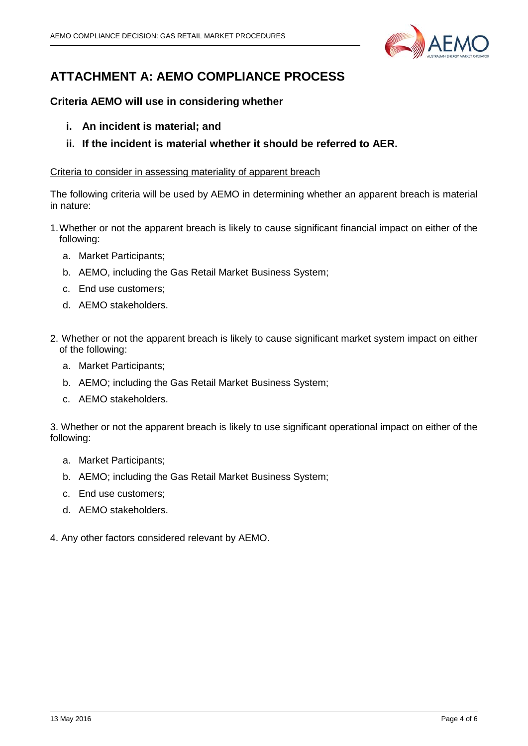

# **ATTACHMENT A: AEMO COMPLIANCE PROCESS**

### **Criteria AEMO will use in considering whether**

- **i. An incident is material; and**
- **ii. If the incident is material whether it should be referred to AER.**

#### Criteria to consider in assessing materiality of apparent breach

The following criteria will be used by AEMO in determining whether an apparent breach is material in nature:

- 1.Whether or not the apparent breach is likely to cause significant financial impact on either of the following:
	- a. Market Participants;
	- b. AEMO, including the Gas Retail Market Business System;
	- c. End use customers;
	- d. AEMO stakeholders.
- 2. Whether or not the apparent breach is likely to cause significant market system impact on either of the following:
	- a. Market Participants;
	- b. AEMO; including the Gas Retail Market Business System;
	- c. AEMO stakeholders.

3. Whether or not the apparent breach is likely to use significant operational impact on either of the following:

- a. Market Participants;
- b. AEMO; including the Gas Retail Market Business System;
- c. End use customers;
- d. AEMO stakeholders.
- 4. Any other factors considered relevant by AEMO.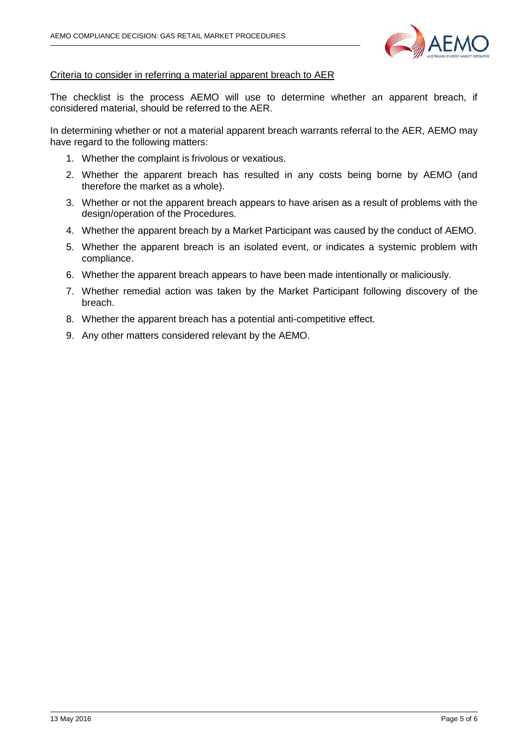

#### Criteria to consider in referring a material apparent breach to AER

The checklist is the process AEMO will use to determine whether an apparent breach, if considered material, should be referred to the AER.

In determining whether or not a material apparent breach warrants referral to the AER, AEMO may have regard to the following matters:

- 1. Whether the complaint is frivolous or vexatious.
- 2. Whether the apparent breach has resulted in any costs being borne by AEMO (and therefore the market as a whole).
- 3. Whether or not the apparent breach appears to have arisen as a result of problems with the design/operation of the Procedures.
- 4. Whether the apparent breach by a Market Participant was caused by the conduct of AEMO.
- 5. Whether the apparent breach is an isolated event, or indicates a systemic problem with compliance.
- 6. Whether the apparent breach appears to have been made intentionally or maliciously.
- 7. Whether remedial action was taken by the Market Participant following discovery of the breach.
- 8. Whether the apparent breach has a potential anti-competitive effect.
- 9. Any other matters considered relevant by the AEMO.